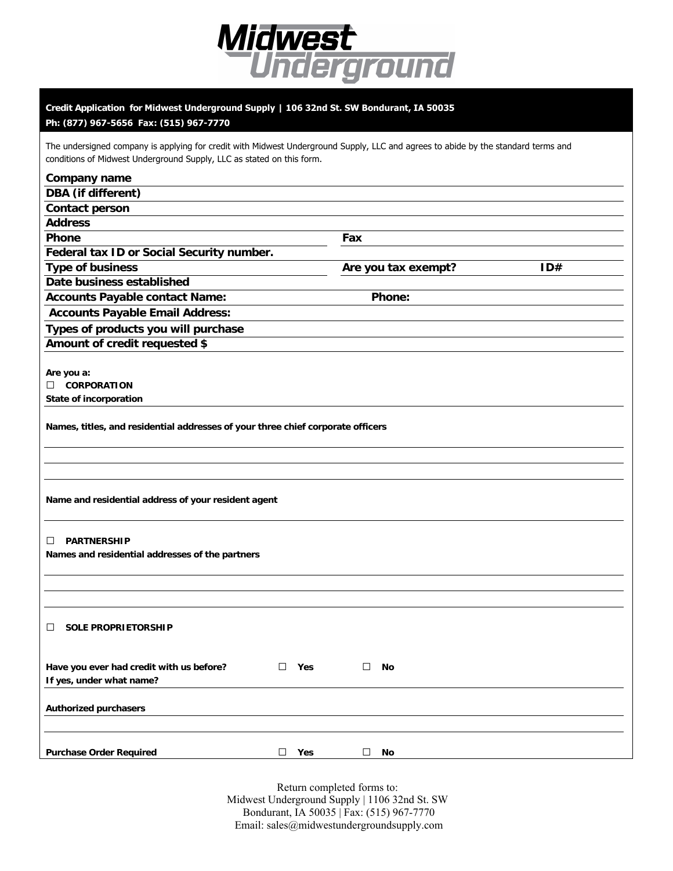

## **Credit Application for Midwest Underground Supply | 106 32nd St. SW Bondurant, IA 50035**

## **Ph: (877) 967-5656 Fax: (515) 967-7770**

The undersigned company is applying for credit with Midwest Underground Supply, LLC and agrees to abide by the standard terms and conditions of Midwest Underground Supply, LLC as stated on this form.

## **Company name DBA (if different) Contact person Address Phone** Fax **Federal tax ID or Social Security number. Type of business Are you tax exempt?** ID# **Date business established Accounts Payable contact Name: Phone: Accounts Payable Email Address: Types of products you will purchase Amount of credit requested \$ Are you a:**  □ **CORPORATION State of incorporation Names, titles, and residential addresses of your three chief corporate officers Name and residential address of your resident agent**  □ **PARTNERSHIP Names and residential addresses of the partners** □ **SOLE PROPRIETORSHIP Have you ever had credit with us before?** □ **Yes** □ **No If yes, under what name? Authorized purchasers Purchase Order Required** □ **Yes** □ **No**

Return completed forms to: Midwest Underground Supply | 1106 32nd St. SW Bondurant, IA 50035 | Fax: (515) 967-7770 Email: sales@midwestundergroundsupply.com